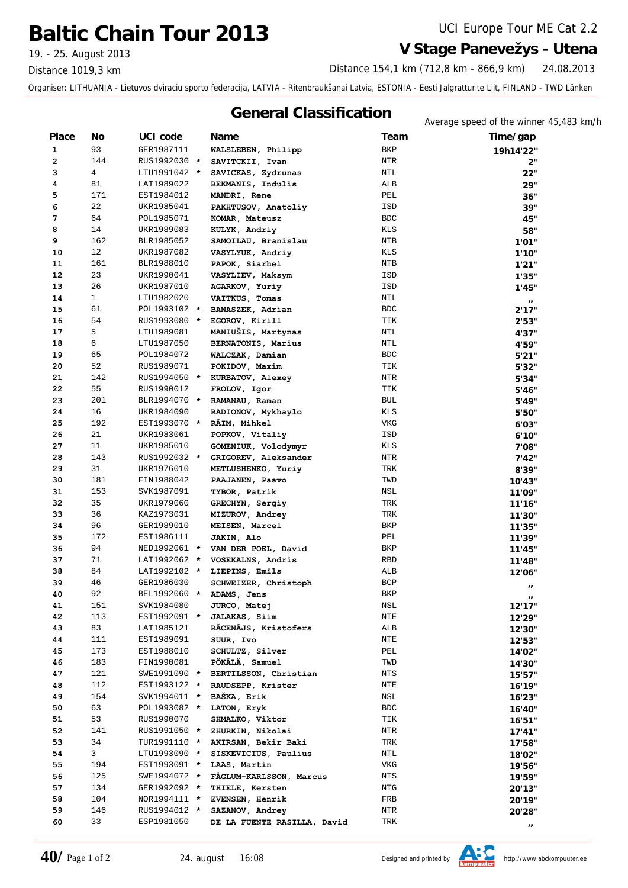## **Baltic Chain Tour 2013** UCI Europe Tour ME Cat 2.2

Distance 1019,3 km

## 19. - 25. August 2013 **V Stage Panevežys - Utena**

24.08.2013 Distance 154,1 km (712,8 km - 866,9 km)

Organiser: LITHUANIA - Lietuvos dviraciu sporto federacija, LATVIA - Ritenbraukšanai Latvia, ESTONIA - Eesti Jalgratturite Liit, FINLAND - TWD Länken

## **General Classification**<br>Average speed of the winner 45,483 km/h

| <b>Place</b> | No             | UCI code                   | <b>Name</b>                      | Team         | $\frac{1}{2}$ . The state of the $\frac{1}{2}$ state $\frac{1}{2}$ is the state of $\frac{1}{2}$<br>Time/gap |
|--------------|----------------|----------------------------|----------------------------------|--------------|--------------------------------------------------------------------------------------------------------------|
| 1            | 93             | GER1987111                 | WALSLEBEN, Philipp               | <b>BKP</b>   | 19h14'22"                                                                                                    |
| $\mathbf{2}$ | 144            | RUS1992030 *               | SAVITCKII, Ivan                  | <b>NTR</b>   | 2"                                                                                                           |
| 3            | $\overline{4}$ | LTU1991042 *               | SAVICKAS, Zydrunas               | NTL          | 22"                                                                                                          |
| 4            | 81             | LAT1989022                 | BEKMANIS, Indulis                | ALB          | 29"                                                                                                          |
| 5            | 171            | EST1984012                 | MANDRI, Rene                     | PEL          | 36"                                                                                                          |
| 6            | 22             | UKR1985041                 | PAKHTUSOV, Anatoliy              | ISD          | 39"                                                                                                          |
| 7            | 64             | POL1985071                 | KOMAR, Mateusz                   | <b>BDC</b>   | 45"                                                                                                          |
| 8            | 14             | UKR1989083                 | KULYK, Andriy                    | <b>KLS</b>   | 58"                                                                                                          |
| 9            | 162            | BLR1985052                 | SAMOILAU, Branislau              | NTB          | 1'01"                                                                                                        |
| 10           | 12             | UKR1987082                 | VASYLYUK, Andriy                 | KLS          | 1'10"                                                                                                        |
| 11           | 161            | BLR1988010                 | PAPOK, Siarhei                   | NTB          | 1'21''                                                                                                       |
| 12           | 23             | UKR1990041                 | VASYLIEV, Maksym                 | ISD          | 1'35"                                                                                                        |
| 13           | 26             | UKR1987010                 | AGARKOV, Yuriy                   | ISD          | 1'45"                                                                                                        |
| 14           | $\mathbf{1}$   | LTU1982020                 | VAITKUS, Tomas                   | $\text{NTL}$ |                                                                                                              |
| 15           | 61             | POL1993102 *               | BANASZEK, Adrian                 | <b>BDC</b>   | $\mathbf{H}$<br>2'17"                                                                                        |
| 16           | 54             | RUS1993080 *               | EGOROV, Kirill                   | TIK          | 2'53"                                                                                                        |
| 17           | 5              | LTU1989081                 | MANIUŠIS, Martynas               | $\text{NTL}$ | 4'37"                                                                                                        |
| 18           | 6              | LTU1987050                 | BERNATONIS, Marius               | NTL          | 4'59"                                                                                                        |
| 19           | 65             | POL1984072                 | WALCZAK, Damian                  | <b>BDC</b>   | 5'21"                                                                                                        |
| 20           | 52             | RUS1989071                 | POKIDOV, Maxim                   | TIK          | 5'32"                                                                                                        |
| 21           | 142            |                            | RUS1994050 * KURBATOV, Alexey    | NTR          |                                                                                                              |
| 22           | 55             | RUS1990012                 | FROLOV, Igor                     | TIK          | 5'34"                                                                                                        |
| 23           | 201            | BLR1994070 *               | RAMANAU, Raman                   | <b>BUL</b>   | 5'46"                                                                                                        |
| 24           | 16             | UKR1984090                 | RADIONOV, Mykhaylo               | KLS          | 5'49"                                                                                                        |
| 25           | 192            | EST1993070 *               | RÄIM, Mihkel                     | VKG          | 5'50"                                                                                                        |
| 26           | 21             | UKR1983061                 | POPKOV, Vitaliy                  | ISD          | 6'03"                                                                                                        |
| 27           | 11             | UKR1985010                 | GOMENIUK, Volodymyr              | KLS          | 6'10"                                                                                                        |
| 28           | 143            |                            | GRIGOREV, Aleksander             |              | 7'08"                                                                                                        |
| 29           | 31             | RUS1992032 *<br>UKR1976010 |                                  | NTR<br>TRK   | 7'42"                                                                                                        |
|              | 181            |                            | METLUSHENKO, Yuriy               |              | 8'39"                                                                                                        |
| 30<br>31     | 153            | FIN1988042                 | PAAJANEN, Paavo                  | TWD          | 10'43"                                                                                                       |
|              |                | SVK1987091                 | TYBOR, Patrik                    | NSL          | 11'09"                                                                                                       |
| 32           | 35             | UKR1979060                 | GRECHYN, Sergiy                  | TRK          | 11'16"                                                                                                       |
| 33           | 36             | KAZ1973031                 | MIZUROV, Andrey                  | TRK          | 11'30"                                                                                                       |
| 34           | 96             | GER1989010                 | MEISEN, Marcel                   | BKP          | 11'35"                                                                                                       |
| 35           | 172            | EST1986111                 | JAKIN, Alo                       | PEL          | 11'39"                                                                                                       |
| 36           | 94             |                            | NED1992061 * VAN DER POEL, David | BKP          | 11'45"                                                                                                       |
| 37           | 71             | LAT1992062 *               | VOSEKALNS, Andris                | <b>RBD</b>   | 11'48"                                                                                                       |
| 38           | 84             | LAT1992102 *               | LIEPINS, Emils                   | ALB          | 12'06"                                                                                                       |
| 39           | 46             | GER1986030                 | SCHWEIZER, Christoph             | <b>BCP</b>   | $\mathbf{H}$                                                                                                 |
| 40           | 92             | BEL1992060 *               | ADAMS, Jens                      | BKP          |                                                                                                              |
| 41           | 151            | SVK1984080                 | JURCO, Matej                     | NSL          | 12'17"                                                                                                       |
| 42           | 113            | EST1992091 *               | <b>JALAKAS, Siim</b>             | NTE          | 12'29"                                                                                                       |
| 43           | 83             | LAT1985121                 | RĀCENĀJS, Kristofers             | ALB          | 12'30"                                                                                                       |
| 44           | 111            | EST1989091                 | SUUR, Ivo                        | NTE          | 12'53"                                                                                                       |
| 45           | 173            | EST1988010                 | SCHULTZ, Silver                  | PEL          | 14'02"                                                                                                       |
| 46           | 183            | FIN1990081                 | PÖKÄLÄ, Samuel                   | TWD          | 14'30"                                                                                                       |
| 47           | 121            | SWE1991090 *               | BERTILSSON, Christian            | NTS          | 15'57"                                                                                                       |
| 48           | 112            | EST1993122 *               | RAUDSEPP, Krister                | NTE          | 16'19"                                                                                                       |
| 49           | 154            | SVK1994011 *               | BAŠKA, Erik                      | NSL          | 16'23"                                                                                                       |
| 50           | 63             | POL1993082 *               | LATON, Eryk                      | <b>BDC</b>   | 16'40"                                                                                                       |
| 51           | 53             | RUS1990070                 | SHMALKO, Viktor                  | TIK          | 16'51"                                                                                                       |
| 52           | 141            | RUS1991050 *               | ZHURKIN, Nikolai                 | NTR          | 17'41"                                                                                                       |
| 53           | 34             | TUR1991110 *               | AKIRSAN, Bekir Baki              | TRK          | 17'58"                                                                                                       |
| 54           | 3              | LTU1993090 *               | SISKEVICIUS, Paulius             | NTL          | 18'02"                                                                                                       |
| 55           | 194            | EST1993091 *               | LAAS, Martin                     | VKG          | 19'56"                                                                                                       |
| 56           | 125            | SWE1994072 *               | FAGLUM-KARLSSON, Marcus          | NTS          | 19'59''                                                                                                      |
| 57           | 134            | GER1992092 *               | THIELE, Kersten                  | NTG          | 20'13"                                                                                                       |
| 58           | 104            | NOR1994111 *               | EVENSEN, Henrik                  | FRB          | 20'19"                                                                                                       |
| 59           | 146            | RUS1994012 *               | SAZANOV, Andrey                  | NTR          | 20'28"                                                                                                       |
| 60           | 33             | ESP1981050                 | DE LA FUENTE RASILLA, David      | TRK          |                                                                                                              |